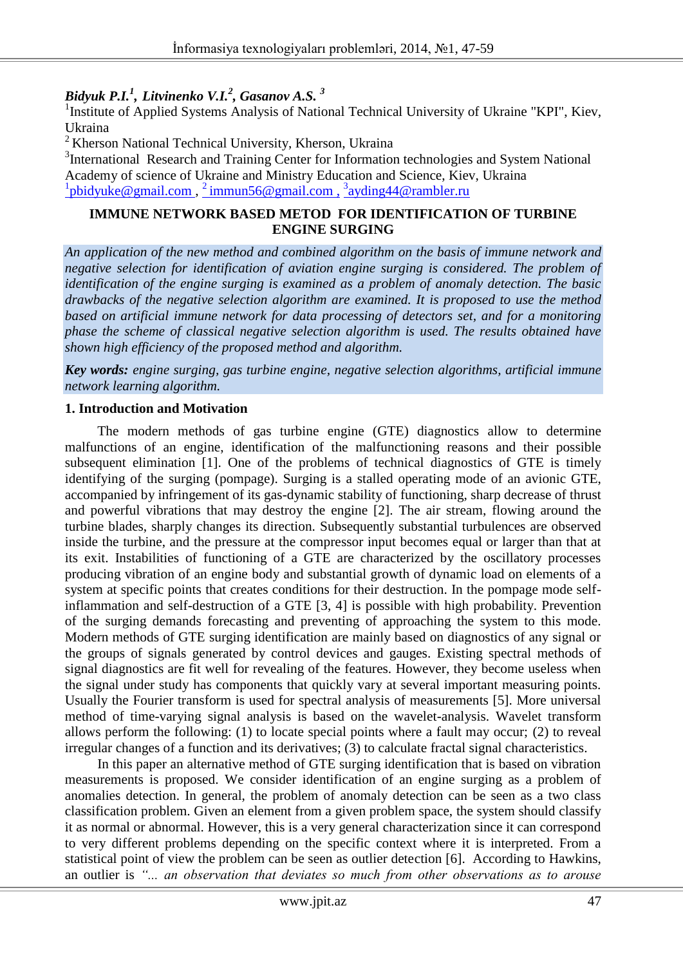*Bidyuk P.I.<sup>1</sup> , Litvinenko V.I.<sup>2</sup> , Gasanov A.S. <sup>3</sup>*

<sup>1</sup> Institute of Applied Systems Analysis of National Technical University of Ukraine "KPI", Kiev, Ukraina

<sup>2</sup> Kherson National Technical University, Kherson, Ukraina

<sup>3</sup>International Research and Training Center for Information technologies and System National Academy of science of Ukraine and Ministry Education and Science, Kiev, Ukraina <sup>1</sup>pbidyuke@gmail.com, <sup>2</sup> immun56@gmail.com, <sup>3</sup>[ayding44@rambler.ru](mailto:ayding44@rambler.ru)

#### **IMMUNE NETWORK BASED METOD FOR IDENTIFICATION OF TURBINE ENGINE SURGING**

*An application of the new method and combined algorithm on the basis of immune network and negative selection for identification of aviation engine surging is considered. The problem of identification of the engine surging is examined as a problem of anomaly detection. The basic drawbacks of the negative selection algorithm are examined. It is proposed to use the method based on artificial immune network for data processing of detectors set, and for a monitoring phase the scheme of classical negative selection algorithm is used. The results obtained have shown high efficiency of the proposed method and algorithm.*

*Key words: engine surging, gas turbine engine, negative selection algorithms, artificial immune network learning algorithm.*

#### **1. Introduction and Motivation**

The modern methods of gas turbine engine (GTE) diagnostics allow to determine malfunctions of an engine, identification of the malfunctioning reasons and their possible subsequent elimination [1]. One of the problems of technical diagnostics of GTE is timely identifying of the surging (pompage). Surging is a stalled operating mode of an avionic GTE, accompanied by infringement of its gas-dynamic stability of functioning, sharp decrease of thrust and powerful vibrations that may destroy the engine [2]. The air stream, flowing around the turbine blades, sharply changes its direction. Subsequently substantial turbulences are observed inside the turbine, and the pressure at the compressor input becomes equal or larger than that at its exit. Instabilities of functioning of a GTE are characterized by the oscillatory processes producing vibration of an engine body and substantial growth of dynamic load on elements of a system at specific points that creates conditions for their destruction. In the pompage mode selfinflammation and self-destruction of a GTE [3, 4] is possible with high probability. Prevention of the surging demands forecasting and preventing of approaching the system to this mode. Modern methods of GTE surging identification are mainly based on diagnostics of any signal or the groups of signals generated by control devices and gauges. Existing spectral methods of signal diagnostics are fit well for revealing of the features. However, they become useless when the signal under study has components that quickly vary at several important measuring points. Usually the Fourier transform is used for spectral analysis of measurements [5]. More universal method of time-varying signal analysis is based on the wavelet-analysis. Wavelet transform allows perform the following: (1) to locate special points where a fault may occur; (2) to reveal irregular changes of a function and its derivatives; (3) to calculate fractal signal characteristics.

In this paper an alternative method of GTE surging identification that is based on vibration measurements is proposed. We consider identification of an engine surging as a problem of anomalies detection. In general, the problem of anomaly detection can be seen as a two class classification problem. Given an element from a given problem space, the system should classify it as normal or abnormal. However, this is a very general characterization since it can correspond to very different problems depending on the specific context where it is interpreted. From a statistical point of view the problem can be seen as outlier detection [6]. According to Hawkins, an outlier is *"... an observation that deviates so much from other observations as to arouse*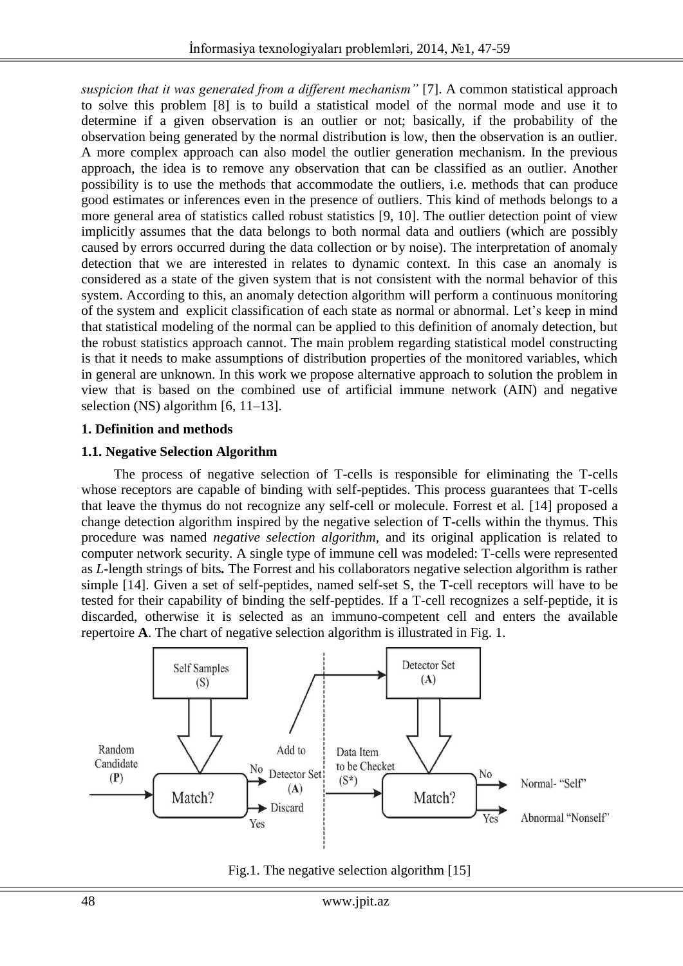*suspicion that it was generated from a different mechanism"* [7]. A common statistical approach to solve this problem [8] is to build a statistical model of the normal mode and use it to determine if a given observation is an outlier or not; basically, if the probability of the observation being generated by the normal distribution is low, then the observation is an outlier. A more complex approach can also model the outlier generation mechanism. In the previous approach, the idea is to remove any observation that can be classified as an outlier. Another possibility is to use the methods that accommodate the outliers, i.e. methods that can produce good estimates or inferences even in the presence of outliers. This kind of methods belongs to a more general area of statistics called robust statistics [9, 10]. The outlier detection point of view implicitly assumes that the data belongs to both normal data and outliers (which are possibly caused by errors occurred during the data collection or by noise). The interpretation of anomaly detection that we are interested in relates to dynamic context. In this case an anomaly is considered as a state of the given system that is not consistent with the normal behavior of this system. According to this, an anomaly detection algorithm will perform a continuous monitoring of the system and explicit classification of each state as normal or abnormal. Let's keep in mind that statistical modeling of the normal can be applied to this definition of anomaly detection, but the robust statistics approach cannot. The main problem regarding statistical model constructing is that it needs to make assumptions of distribution properties of the monitored variables, which in general are unknown. In this work we propose alternative approach to solution the problem in view that is based on the combined use of artificial immune network (AIN) and negative selection (NS) algorithm [6, 11–13].

# **1. Definition and methods**

### **1.1. Negative Selection Algorithm**

The process of negative selection of T-cells is responsible for eliminating the T-cells whose receptors are capable of binding with self-peptides. This process guarantees that T-cells that leave the thymus do not recognize any self-cell or molecule. Forrest et al*.* [14] proposed a change detection algorithm inspired by the negative selection of T-cells within the thymus. This procedure was named *negative selection algorithm,* and its original application is related to computer network security. A single type of immune cell was modeled: T-cells were represented as *L*-length strings of bits*.* The Forrest and his collaborators negative selection algorithm is rather simple [14]. Given a set of self-peptides, named self-set S, the T-cell receptors will have to be tested for their capability of binding the self-peptides. If a T-cell recognizes a self-peptide, it is discarded, otherwise it is selected as an immuno-competent cell and enters the available repertoire **A**. The chart of negative selection algorithm is illustrated in Fig. 1.



Fig.1. The negative selection algorithm [15]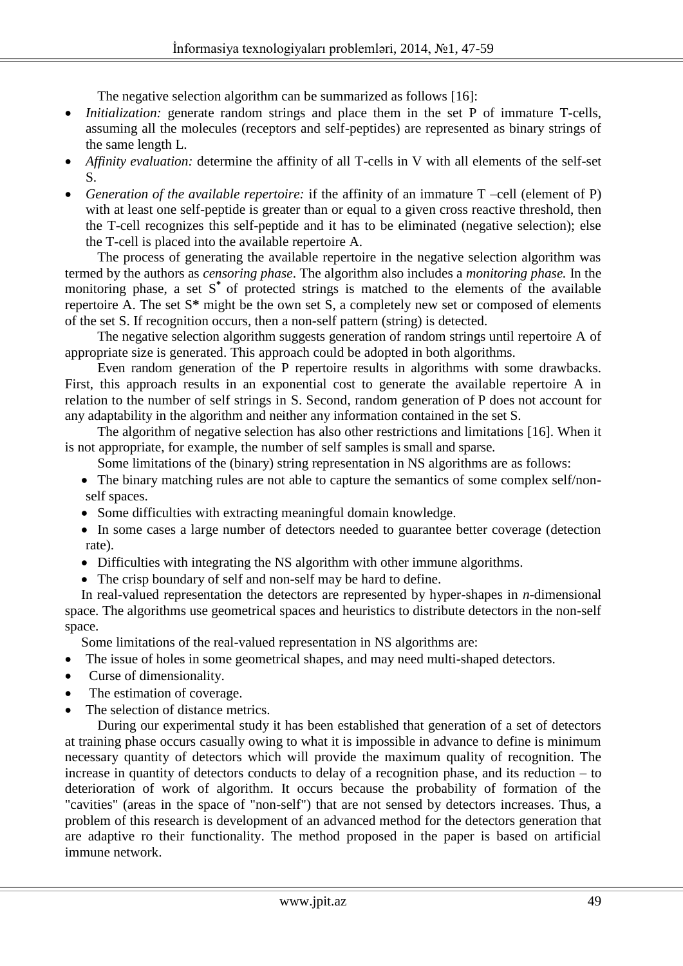The negative selection algorithm can be summarized as follows [16]:

- *Initialization:* generate random strings and place them in the set P of immature T-cells, assuming all the molecules (receptors and self-peptides) are represented as binary strings of the same length L.
- *Affinity evaluation:* determine the affinity of all T-cells in V with all elements of the self-set S.
- *Generation of the available repertoire:* if the affinity of an immature T –cell (element of P) with at least one self-peptide is greater than or equal to a given cross reactive threshold, then the T-cell recognizes this self-peptide and it has to be eliminated (negative selection); else the T-cell is placed into the available repertoire A.

The process of generating the available repertoire in the negative selection algorithm was termed by the authors as *censoring phase*. The algorithm also includes a *monitoring phase.* In the monitoring phase, a set S<sup>\*</sup> of protected strings is matched to the elements of the available repertoire A. The set S**\*** might be the own set S, a completely new set or composed of elements of the set S. If recognition occurs, then a non-self pattern (string) is detected.

The negative selection algorithm suggests generation of random strings until repertoire A of appropriate size is generated. This approach could be adopted in both algorithms.

Even random generation of the P repertoire results in algorithms with some drawbacks. First, this approach results in an exponential cost to generate the available repertoire A in relation to the number of self strings in S. Second, random generation of P does not account for any adaptability in the algorithm and neither any information contained in the set S.

The algorithm of negative selection has also other restrictions and limitations [16]. When it is not appropriate, for example, the number of self samples is small and sparse.

Some limitations of the (binary) string representation in NS algorithms are as follows:

- The binary matching rules are not able to capture the semantics of some complex self/nonself spaces.
- Some difficulties with extracting meaningful domain knowledge.
- In some cases a large number of detectors needed to guarantee better coverage (detection rate).
- Difficulties with integrating the NS algorithm with other immune algorithms.
- The crisp boundary of self and non-self may be hard to define.

In real-valued representation the detectors are represented by hyper-shapes in *n*-dimensional space. The algorithms use geometrical spaces and heuristics to distribute detectors in the non-self space.

Some limitations of the real-valued representation in NS algorithms are:

- The issue of holes in some geometrical shapes, and may need multi-shaped detectors.
- Curse of dimensionality.
- The estimation of coverage.
- The selection of distance metrics.

During our experimental study it has been established that generation of a set of detectors at training phase occurs casually owing to what it is impossible in advance to define is minimum necessary quantity of detectors which will provide the maximum quality of recognition. The increase in quantity of detectors conducts to delay of a recognition phase, and its reduction – to deterioration of work of algorithm. It occurs because the probability of formation of the "cavities" (areas in the space of "non-self") that are not sensed by detectors increases. Thus, a problem of this research is development of an advanced method for the detectors generation that are adaptive ro their functionality. The method proposed in the paper is based on artificial immune network.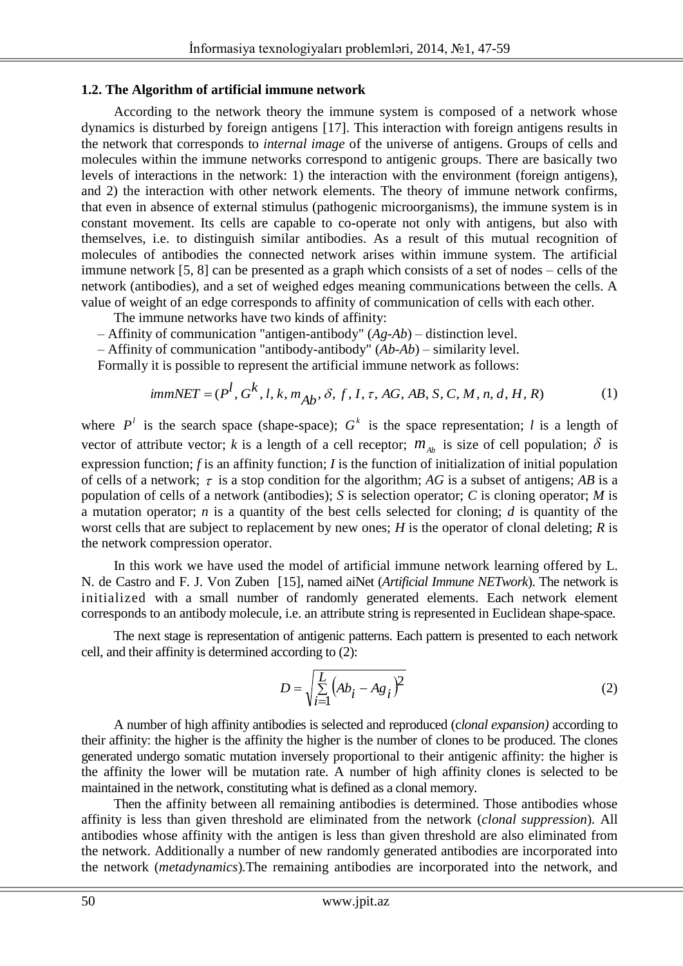#### **1.2. The Algorithm of artificial immune network**

According to the network theory the immune system is composed of a network whose dynamics is disturbed by foreign antigens [17]. This interaction with foreign antigens results in the network that corresponds to *internal image* of the universe of antigens. Groups of cells and molecules within the immune networks correspond to antigenic groups. There are basically two levels of interactions in the network: 1) the interaction with the environment (foreign antigens), and 2) the interaction with other network elements. The theory of immune network confirms, that even in absence of external stimulus (pathogenic microorganisms), the immune system is in constant movement. Its cells are capable to co-operate not only with antigens, but also with themselves, i.e. to distinguish similar antibodies. As a result of this mutual recognition of molecules of antibodies the connected network arises within immune system. The artificial immune network [5, 8] can be presented as a graph which consists of a set of nodes – cells of the network (antibodies), and a set of weighed edges meaning communications between the cells. A value of weight of an edge corresponds to affinity of communication of cells with each other.

The immune networks have two kinds of affinity:

- Affinity of communication "antigen-antibody" (*Ag-Ab*) distinction level.
- Affinity of communication "antibody-antibody" (*Ab-Ab*) similarity level.

Formally it is possible to represent the artificial immune network as follows:

$$
immNET = (P^l, G^k, l, k, m_{Ab}, \delta, f, I, \tau, AG, AB, S, C, M, n, d, H, R)
$$
 (1)

where  $P^l$  is the search space (shape-space);  $G^k$  is the space representation; *l* is a length of vector of attribute vector; k is a length of a cell receptor;  $m_{\hat{A}b}$  is size of cell population;  $\delta$  is expression function; *f* is an affinity function; *I* is the function of initialization of initial population of cells of a network;  $\tau$  is a stop condition for the algorithm; AG is a subset of antigens; AB is a population of cells of a network (antibodies); *S* is selection operator; *C* is cloning operator; *M* is a mutation operator; *n* is a quantity of the best cells selected for cloning; *d* is quantity of the worst cells that are subject to replacement by new ones; *H* is the operator of clonal deleting; *R* is the network compression operator.

In this work we have used the model of artificial immune network learning offered by L. N. de Castro and F. J. Von Zuben[15], named aiNet (*Artificial Immune NETwork*). The network is initialized with a small number of randomly generated elements. Each network element corresponds to an antibody molecule, i.e. an attribute string is represented in Euclidean shape-space.

The next stage is representation of antigenic patterns. Each pattern is presented to each network cell, and their affinity is determined according to (2):

$$
D = \sqrt{\sum_{i=1}^{L} (Ab_i - Ag_i)^2}
$$
 (2)

A number of high affinity antibodies is selected and reproduced (c*lonal expansion)* according to their affinity: the higher is the affinity the higher is the number of clones to be produced. The clones generated undergo somatic mutation inversely proportional to their antigenic affinity: the higher is the affinity the lower will be mutation rate. A number of high affinity clones is selected to be maintained in the network, constituting what is defined as a clonal memory.

Then the affinity between all remaining antibodies is determined. Those antibodies whose affinity is less than given threshold are eliminated from the network (*clonal suppression*)*.* All antibodies whose affinity with the antigen is less than given threshold are also eliminated from the network. Additionally a number of new randomly generated antibodies are incorporated into the network (*metadynamics*)*.*The remaining antibodies are incorporated into the network, and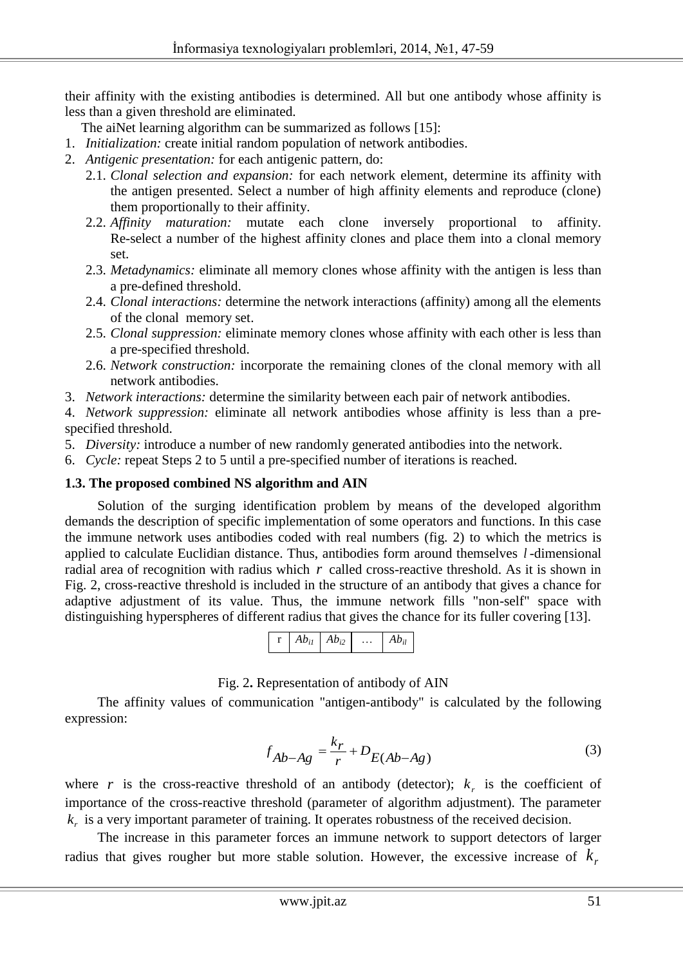their affinity with the existing antibodies is determined. All but one antibody whose affinity is less than a given threshold are eliminated.

The aiNet learning algorithm can be summarized as follows [15]:

- 1. *Initialization:* create initial random population of network antibodies.
- 2. *Antigenic presentation:* for each antigenic pattern, do:
	- 2.1. *Clonal selection and expansion:* for each network element, determine its affinity with the antigen presented. Select a number of high affinity elements and reproduce (clone) them proportionally to their affinity.
	- 2.2. *Affinity maturation:* mutate each clone inversely proportional to affinity. Re-select a number of the highest affinity clones and place them into a clonal memory set.
	- 2.3. *Metadynamics:* eliminate all memory clones whose affinity with the antigen is less than a pre-defined threshold.
	- 2.4. *Clonal interactions:* determine the network interactions (affinity) among all the elements of the clonal memory set.
	- 2.5. *Clonal suppression:* eliminate memory clones whose affinity with each other is less than a pre-specified threshold.
	- 2.6. *Network construction:* incorporate the remaining clones of the clonal memory with all network antibodies.
- 3. *Network interactions:* determine the similarity between each pair of network antibodies.

4. *Network suppression:* eliminate all network antibodies whose affinity is less than a prespecified threshold.

- 5. *Diversity:* introduce a number of new randomly generated antibodies into the network.
- 6. *Cycle:* repeat Steps 2 to 5 until a pre-specified number of iterations is reached.

#### **1.3. The proposed combined NS algorithm and AIN**

Solution of the surging identification problem by means of the developed algorithm demands the description of specific implementation of some operators and functions. In this case the immune network uses antibodies coded with real numbers (fig. 2) to which the metrics is applied to calculate Euclidian distance. Thus, antibodies form around themselves *l* -dimensional radial area of recognition with radius which  $r$  called cross-reactive threshold. As it is shown in Fig. 2, cross-reactive threshold is included in the structure of an antibody that gives a chance for adaptive adjustment of its value. Thus, the immune network fills "non-self" space with distinguishing hyperspheres of different radius that gives the chance for its fuller covering [13].



Fig. 2**.** Representation of antibody of AIN

The affinity values of communication "antigen-antibody" is calculated by the following expression:

$$
f_{Ab-Ag} = \frac{k_r}{r} + D_{E(Ab-Ag)}
$$
 (3)

where r is the cross-reactive threshold of an antibody (detector);  $k<sub>r</sub>$  is the coefficient of importance of the cross-reactive threshold (parameter of algorithm adjustment). The parameter  $k<sub>r</sub>$  is a very important parameter of training. It operates robustness of the received decision.

The increase in this parameter forces an immune network to support detectors of larger radius that gives rougher but more stable solution. However, the excessive increase of  $k<sub>r</sub>$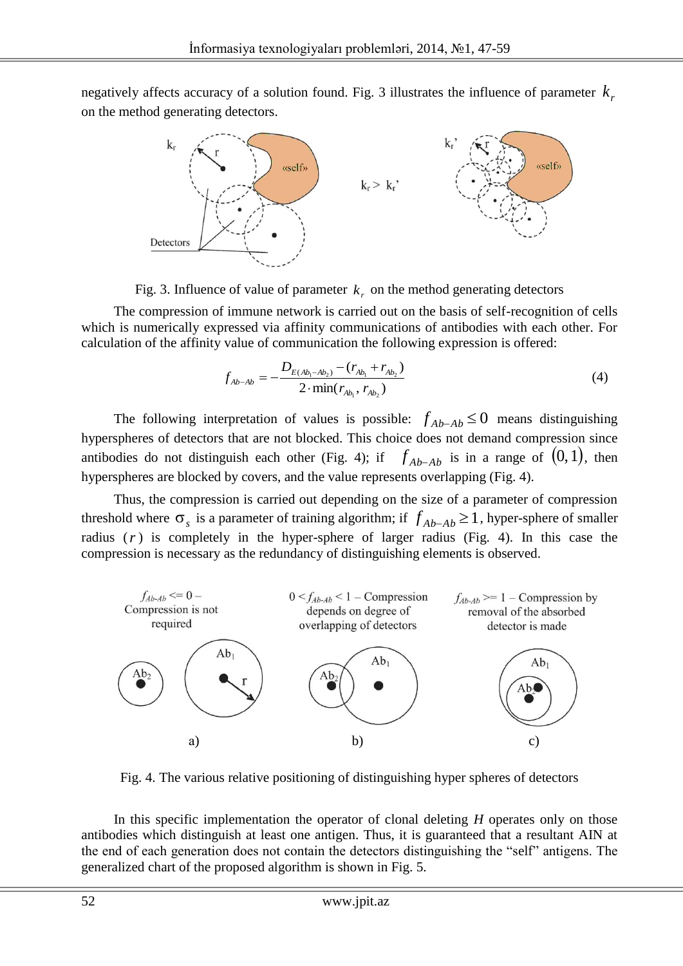negatively affects accuracy of a solution found. Fig. 3 illustrates the influence of parameter  $k<sub>r</sub>$ on the method generating detectors.



Fig. 3. Influence of value of parameter  $k_r$  on the method generating detectors

The compression of immune network is carried out on the basis of self-recognition of cells which is numerically expressed via affinity communications of antibodies with each other. For calculation of the affinity value of communication the following expression is offered:

$$
f_{Ab-Ab} = -\frac{D_{E(Ab_1 - Ab_2)} - (r_{Ab_1} + r_{Ab_2})}{2 \cdot \min(r_{Ab_1}, r_{Ab_2})}
$$
(4)

The following interpretation of values is possible:  $f_{Ab-Ab} \le 0$  means distinguishing hyperspheres of detectors that are not blocked. This choice does not demand compression since antibodies do not distinguish each other (Fig. 4); if  $f_{Ab-Ab}$  is in a range of  $(0,1)$ , then hyperspheres are blocked by covers, and the value represents overlapping (Fig. 4).

Thus, the compression is carried out depending on the size of a parameter of compression threshold where  $\sigma_s$  is a parameter of training algorithm; if  $f_{Ab-Ab} \ge 1$ , hyper-sphere of smaller radius  $(r)$  is completely in the hyper-sphere of larger radius (Fig. 4). In this case the compression is necessary as the redundancy of distinguishing elements is observed.



Fig. 4. The various relative positioning of distinguishing hyper spheres of detectors

In this specific implementation the operator of clonal deleting *H* operates only on those antibodies which distinguish at least one antigen. Thus, it is guaranteed that a resultant AIN at the end of each generation does not contain the detectors distinguishing the "self" antigens. The generalized chart of the proposed algorithm is shown in Fig. 5.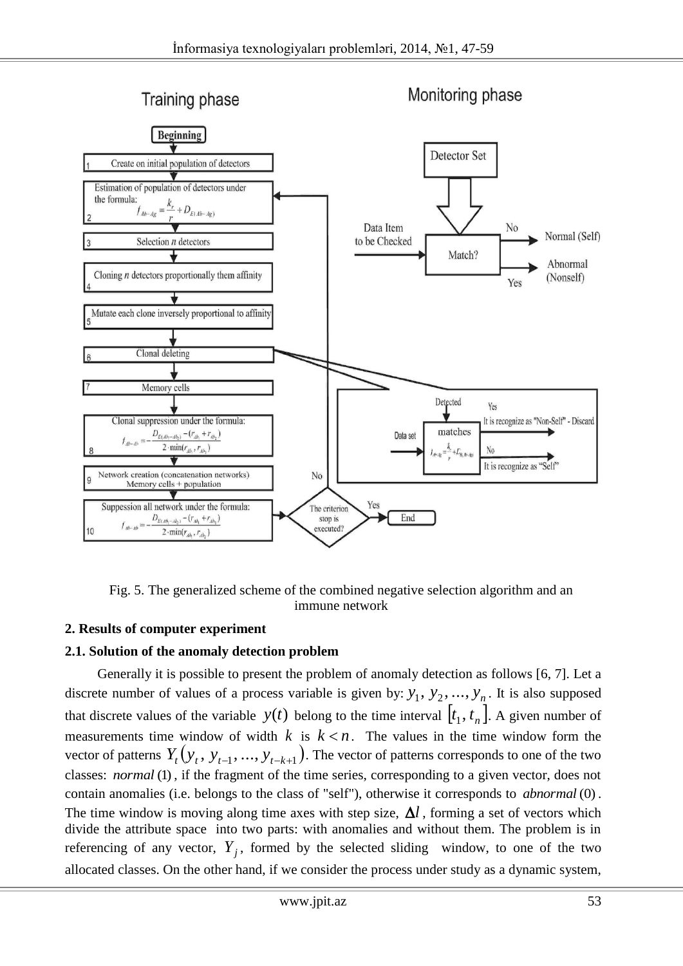

Fig. 5. The generalized scheme of the combined negative selection algorithm and an immune network

# **2. Results of computer experiment**

# **2.1. Solution of the anomaly detection problem**

Generally it is possible to present the problem of anomaly detection as follows [6, 7]. Let a discrete number of values of a process variable is given by:  $y_1, y_2, ..., y_n$ . It is also supposed that discrete values of the variable  $y(t)$  belong to the time interval  $[t_1, t_n]$ . A given number of measurements time window of width  $k$  is  $k < n$ . The values in the time window form the vector of patterns  $Y_t(y_t, y_{t-1}, ..., y_{t-k+1})$ . The vector of patterns corresponds to one of the two classes: *normal* (1), if the fragment of the time series, corresponding to a given vector, does not contain anomalies (i.e. belongs to the class of "self"), otherwise it corresponds to *abnormal* (0) . The time window is moving along time axes with step size,  $\Delta l$ , forming a set of vectors which divide the attribute space into two parts: with anomalies and without them. The problem is in referencing of any vector,  $Y_j$ , formed by the selected sliding window, to one of the two allocated classes. On the other hand, if we consider the process under study as a dynamic system,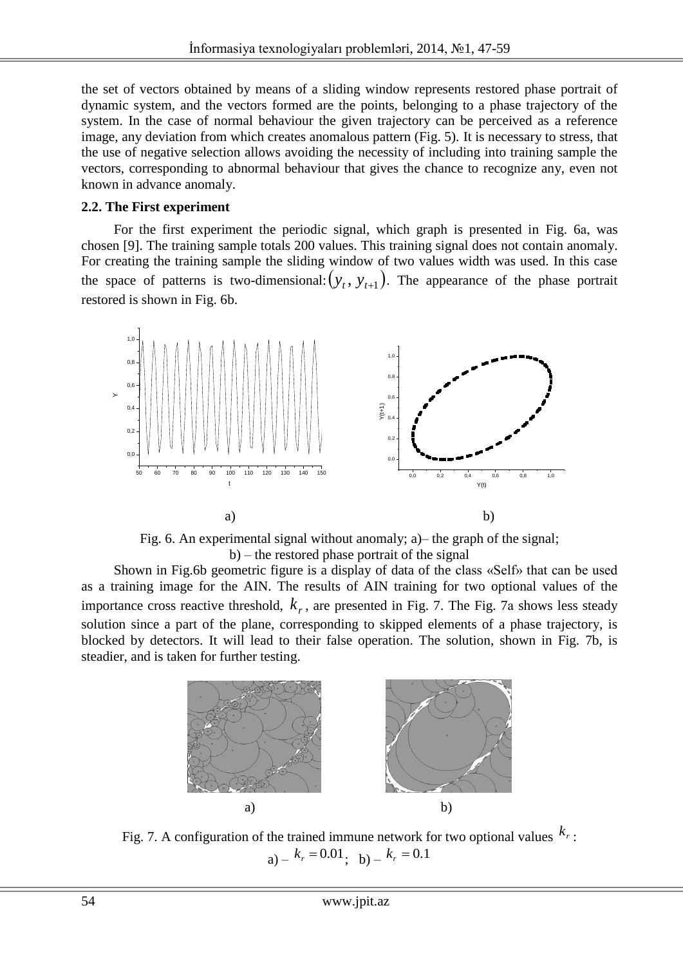the set of vectors obtained by means of a sliding window represents restored phase portrait of dynamic system, and the vectors formed are the points, belonging to a phase trajectory of the system. In the case of normal behaviour the given trajectory can be perceived as a reference image, any deviation from which creates anomalous pattern (Fig. 5). It is necessary to stress, that the use of negative selection allows avoiding the necessity of including into training sample the vectors, corresponding to abnormal behaviour that gives the chance to recognize any, even not known in advance anomaly.

#### **2.2. The First experiment**

For the first experiment the periodic signal, which graph is presented in Fig. 6а, was chosen [9]. The training sample totals 200 values. This training signal does not contain anomaly. For creating the training sample the sliding window of two values width was used. In this case the space of patterns is two-dimensional:  $(y_t, y_{t+1})$ . The appearance of the phase portrait restored is shown in Fig. 6b.



Fig. 6. An experimental signal without anomaly; a)– the graph of the signal; b) – the restored phase portrait of the signal

Shown in Fig.6b geometric figure is a display of data of the class «Self» that can be used as a training image for the AIN. The results of AIN training for two optional values of the importance cross reactive threshold,  $k_r$ , are presented in Fig. 7. The Fig. 7a shows less steady solution since a part of the plane, corresponding to skipped elements of a phase trajectory, is blocked by detectors. It will lead to their false operation. The solution, shown in Fig. 7b, is steadier, and is taken for further testing.



Fig. 7. A configuration of the trained immune network for two optional values  $k_r$ :  $a) - k_r = 0.01$ ; b) -  $k_r = 0.1$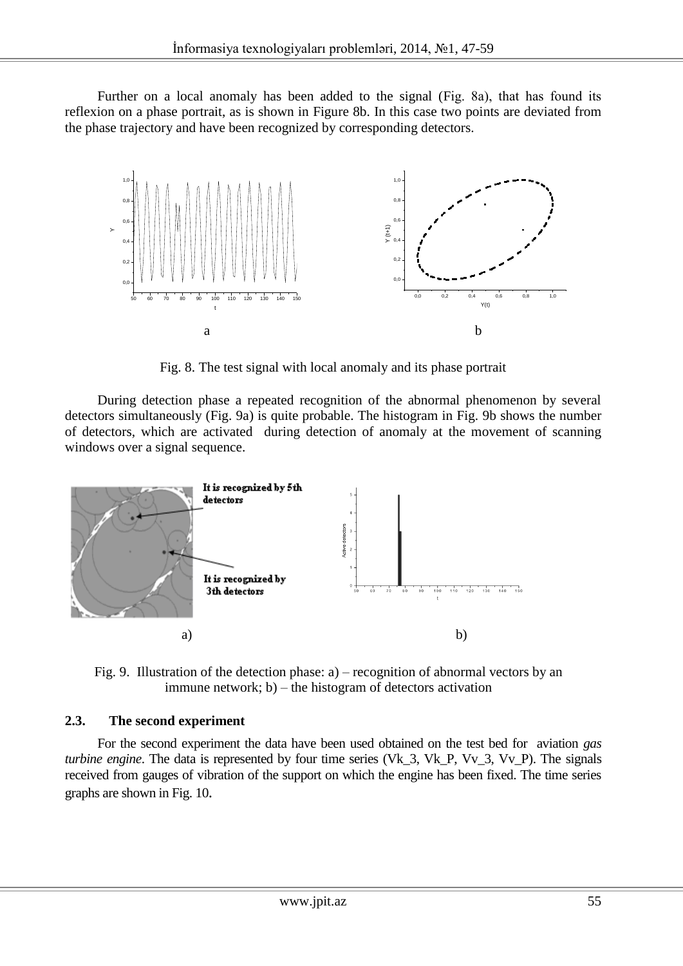Further on a local anomaly has been added to the signal (Fig. 8а), that has found its reflexion on a phase portrait, as is shown in Figure 8b. In this case two points are deviated from the phase trajectory and have been recognized by corresponding detectors.



Fig. 8. The test signal with local anomaly and its phase portrait

During detection phase a repeated recognition of the abnormal phenomenon by several detectors simultaneously (Fig. 9a) is quite probable. The histogram in Fig. 9b shows the number of detectors, which are activated during detection of anomaly at the movement of scanning windows over a signal sequence.



Fig. 9. Illustration of the detection phase: a) – recognition of abnormal vectors by an immune network; b) – the histogram of detectors activation

# **2.3. The second experiment**

For the second experiment the data have been used obtained on the test bed for aviation *gas turbine engine*. The data is represented by four time series (Vk 3, Vk P, Vv 3, Vv P). The signals received from gauges of vibration of the support on which the engine has been fixed. The time series graphs are shown in Fig. 10.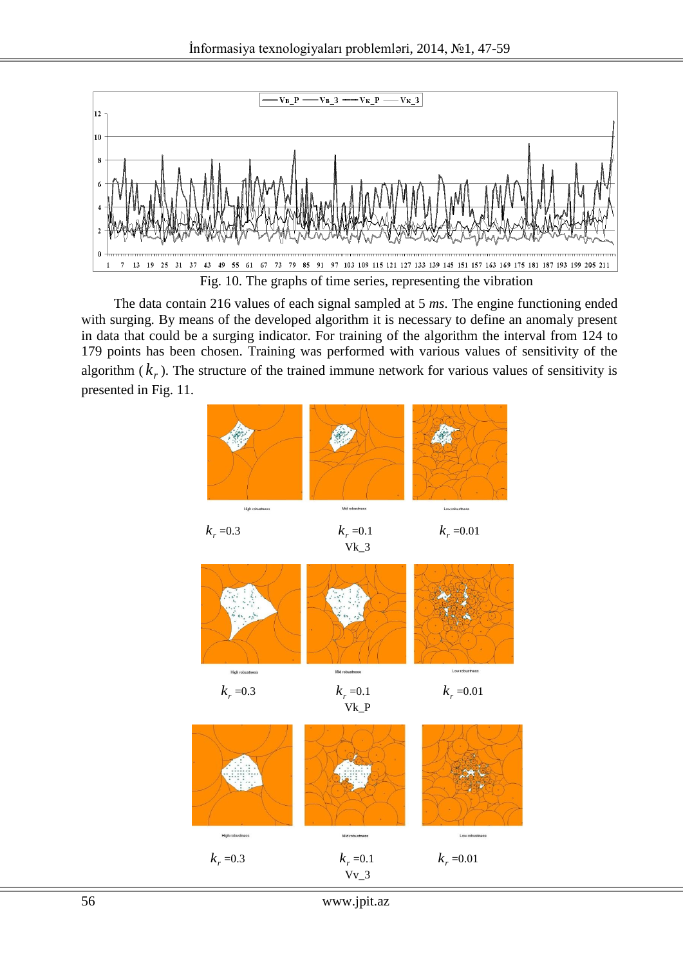

The data contain 216 values of each signal sampled at 5 *ms*. The engine functioning ended with surging. By means of the developed algorithm it is necessary to define an anomaly present in data that could be a surging indicator. For training of the algorithm the interval from 124 to 179 points has been chosen. Training was performed with various values of sensitivity of the algorithm  $(k_r)$ . The structure of the trained immune network for various values of sensitivity is presented in Fig. 11.



<sup>56</sup> www.jpit.az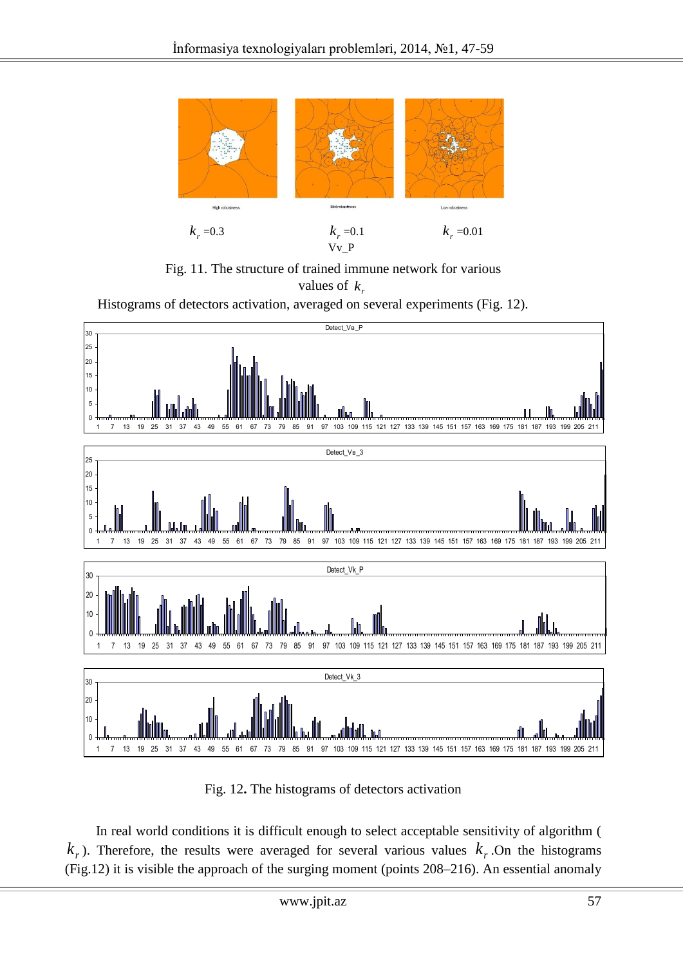

Fig. 11. The structure of trained immune network for various values of  $k_{r}$ 

Histograms of detectors activation, averaged on several experiments (Fig. 12).



Fig. 12**.** The histograms of detectors activation

In real world conditions it is difficult enough to select acceptable sensitivity of algorithm (  $k_r$ ). Therefore, the results were averaged for several various values  $k_r$ . On the histograms (Fig.12) it is visible the approach of the surging moment (points 208–216). An essential anomaly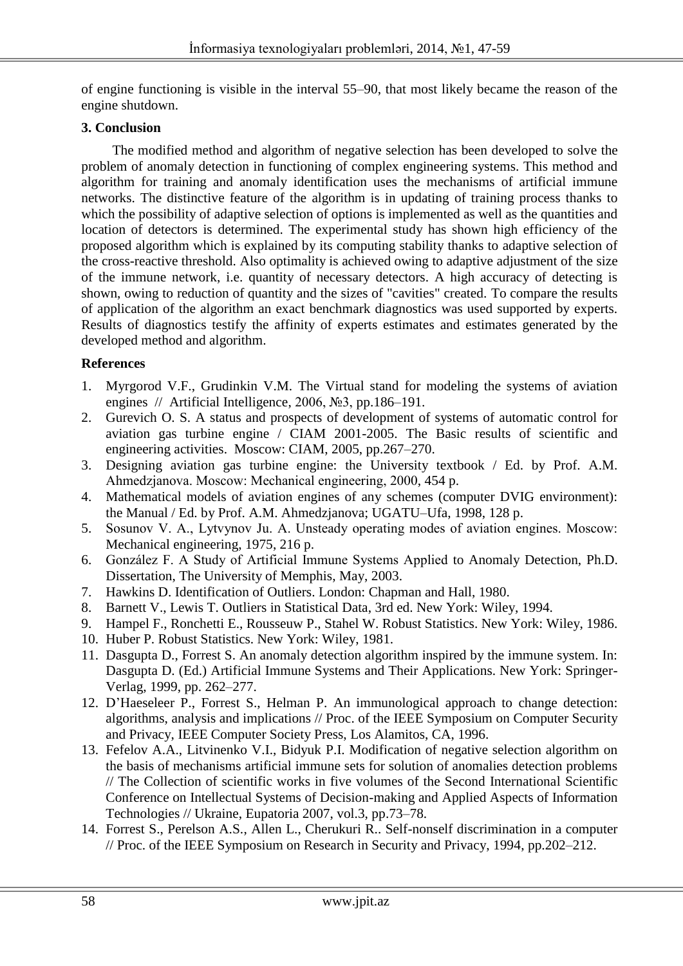of engine functioning is visible in the interval 55–90, that most likely became the reason of the engine shutdown.

# **3. Conclusion**

The modified method and algorithm of negative selection has been developed to solve the problem of anomaly detection in functioning of complex engineering systems. This method and algorithm for training and anomaly identification uses the mechanisms of artificial immune networks. The distinctive feature of the algorithm is in updating of training process thanks to which the possibility of adaptive selection of options is implemented as well as the quantities and location of detectors is determined. The experimental study has shown high efficiency of the proposed algorithm which is explained by its computing stability thanks to adaptive selection of the cross-reactive threshold. Also optimality is achieved owing to adaptive adjustment of the size of the immune network, i.e. quantity of necessary detectors. A high accuracy of detecting is shown, owing to reduction of quantity and the sizes of "cavities" created. To compare the results of application of the algorithm an exact benchmark diagnostics was used supported by experts. Results of diagnostics testify the affinity of experts estimates and estimates generated by the developed method and algorithm.

# **References**

- 1. Myrgorod V.F., Grudinkin V.M. The Virtual stand for modeling the systems of aviation engines // Artificial Intelligence, 2006, №3, pp.186–191.
- 2. Gurevich O. S. A status and prospects of development of systems of automatic control for aviation gas turbine engine / CIAM 2001-2005. The Basic results of scientific and engineering activities. Moscow: CIAM, 2005, pp.267–270.
- 3. Designing aviation gas turbine engine: the University textbook / Ed. by Prof. A.M. Ahmedzjanova. Мoscow: Mechanical engineering, 2000, 454 p.
- 4. Mathematical models of aviation engines of any schemes (computer DVIG environment): the Manual / Ed. by Prof. A.M. Ahmedzjanova; UGATU–Ufa, 1998, 128 p.
- 5. Sosunov V. A., Lytvynov Ju. A. Unsteady operating modes of aviation engines. Мoscow: Mechanical engineering, 1975, 216 p.
- 6. González F. A Study of Artificial Immune Systems Applied to Anomaly Detection, Ph.D. Dissertation, The University of Memphis, May, 2003.
- 7. Hawkins D. Identification of Outliers. London: Chapman and Hall, 1980.
- 8. Barnett V., Lewis T. Outliers in Statistical Data, 3rd ed. New York: Wiley, 1994.
- 9. Hampel F., Ronchetti E., Rousseuw P., Stahel W. Robust Statistics. New York: Wiley, 1986.
- 10. Huber P. Robust Statistics. New York: Wiley, 1981.
- 11. Dasgupta D., Forrest S. An anomaly detection algorithm inspired by the immune system. In: Dasgupta D. (Ed.) Artificial Immune Systems and Their Applications. New York: Springer-Verlag, 1999, pp. 262–277.
- 12. D'Haeseleer P., Forrest S., Helman P. An immunological approach to change detection: algorithms, analysis and implications // Proc. of the IEEE Symposium on Computer Security and Privacy, IEEE Computer Society Press, Los Alamitos, CA, 1996.
- 13. Fefelov A.A., Litvinenko V.I., Bidyuk P.I. Modification of negative selection algorithm on the basis of mechanisms artificial immune sets for solution of anomalies detection problems // The Collection of scientific works in five volumes of the Second International Scientific Conference on Intellectual Systems of Decision-making and Applied Aspects of Information Technologies // Ukraine, Eupatoria 2007, vol.3, pp.73–78.
- 14. Forrest S., Perelson A.S., Allen L., Cherukuri R.. Self-nonself discrimination in a computer // Proc. of the IEEE Symposium on Research in Security and Privacy, 1994, pp.202–212.